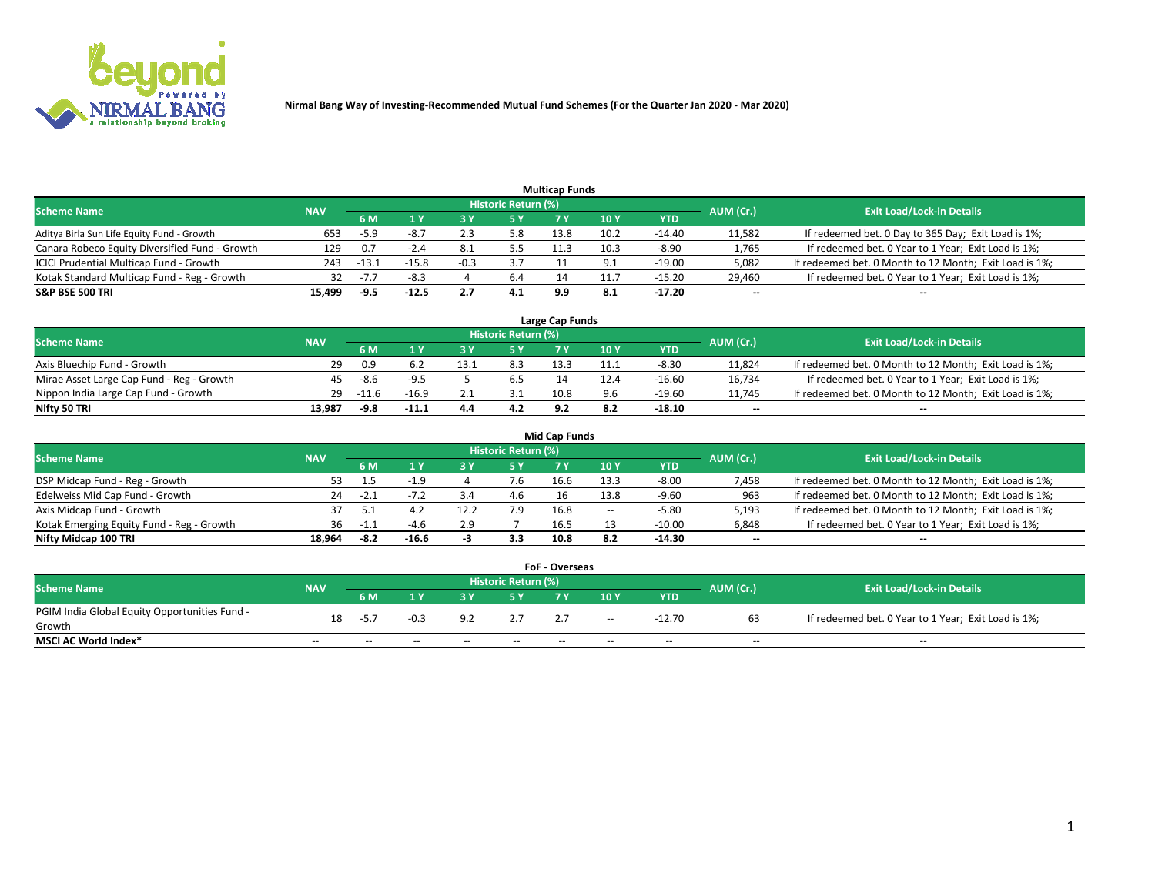

| <b>Multicap Funds</b>                          |            |         |         |      |                     |      |      |          |           |                                                        |  |  |  |  |
|------------------------------------------------|------------|---------|---------|------|---------------------|------|------|----------|-----------|--------------------------------------------------------|--|--|--|--|
| <b>Scheme Name</b>                             | <b>NAV</b> |         |         |      | Historic Return (%) |      |      |          | AUM (Cr.) | <b>Exit Load/Lock-in Details</b>                       |  |  |  |  |
|                                                |            | 6 M     |         |      | 5 Y                 |      | 10 Y | YTD      |           |                                                        |  |  |  |  |
| Aditya Birla Sun Life Equity Fund - Growth     | 653        | $-5.9$  | -8.,    |      | 5.8                 | 13.8 | 10.2 | $-14.40$ | 11,582    | If redeemed bet. 0 Day to 365 Day; Exit Load is 1%;    |  |  |  |  |
| Canara Robeco Equity Diversified Fund - Growth | 129        | 0.7     | $-2.4$  | 8.1  | 5.5                 |      | 10.3 | $-8.90$  | 1,765     | If redeemed bet. 0 Year to 1 Year; Exit Load is 1%;    |  |  |  |  |
| ICICI Prudential Multicap Fund - Growth        | 243        | $-13.1$ | $-15.8$ | -0.3 | ≺ /                 |      |      | -19.00   | 5,082     | If redeemed bet. 0 Month to 12 Month; Exit Load is 1%; |  |  |  |  |
| Kotak Standard Multicap Fund - Reg - Growth    | 32         |         | $-8.3$  |      | 6.4                 |      | 11.7 | -15.20   | 29,460    | If redeemed bet. 0 Year to 1 Year; Exit Load is 1%;    |  |  |  |  |
| <b>S&amp;P BSE 500 TRI</b>                     | 15.499     | -9.5    | $-12.5$ |      | 4.1                 | 9.9  | 8.1  | -17.20   | $\sim$    | $-$                                                    |  |  |  |  |

| Large Cap Funds                           |            |            |         |     |                     |      |      |         |           |                                                        |  |  |  |
|-------------------------------------------|------------|------------|---------|-----|---------------------|------|------|---------|-----------|--------------------------------------------------------|--|--|--|
| Scheme Name                               | <b>NAV</b> |            |         |     | Historic Return (%) |      |      |         | AUM (Cr.) | <b>Exit Load/Lock-in Details</b>                       |  |  |  |
|                                           |            | <b>6 M</b> |         |     | 5 Y                 | 7 V  | 10Y  | YTD     |           |                                                        |  |  |  |
| Axis Bluechip Fund - Growth               | 29         | 0.9        |         |     | 8.3                 | 13.3 | 11.1 | $-8.30$ | 11,824    | If redeemed bet. 0 Month to 12 Month; Exit Load is 1%; |  |  |  |
| Mirae Asset Large Cap Fund - Reg - Growth | 45.        | -8.6       | -9.5    |     | 6.5                 |      | 12.4 | -16.60  | 16,734    | If redeemed bet. 0 Year to 1 Year; Exit Load is 1%;    |  |  |  |
| Nippon India Large Cap Fund - Growth      | 29         | $-11.6$    | $-16.9$ |     |                     | 10.8 |      | -19.60  | 11,745    | If redeemed bet. 0 Month to 12 Month; Exit Load is 1%; |  |  |  |
| Nifty 50 TRI                              | 13,987     | $-9.8$     | -11.1   | 4.4 | 4.2                 | ົດ.  |      | -18.10  | $\sim$    | $-$                                                    |  |  |  |

|                                           |            |      |         |      |                     | <b>Mid Cap Funds</b> |      |            |           |                                                        |
|-------------------------------------------|------------|------|---------|------|---------------------|----------------------|------|------------|-----------|--------------------------------------------------------|
| <b>Scheme Name</b>                        | <b>NAV</b> |      |         |      | Historic Return (%) |                      |      |            | AUM (Cr.) | <b>Exit Load/Lock-in Details</b>                       |
|                                           |            | 6 M  |         |      |                     |                      | 10Y  | <b>YTD</b> |           |                                                        |
| DSP Midcap Fund - Reg - Growth            | 53.        |      | $-1.9$  |      | 7.6                 | 16.6                 | 13.3 | $-8.00$    | 7,458     | If redeemed bet. 0 Month to 12 Month; Exit Load is 1%; |
| Edelweiss Mid Cap Fund - Growth           | 24         | -2.1 |         | 3.4  | 4.6                 |                      | 13.8 | $-9.60$    | 963       | If redeemed bet. 0 Month to 12 Month; Exit Load is 1%; |
| Axis Midcap Fund - Growth                 | 37         |      |         | 12.2 | 7.9                 | 16.8                 | $-$  | $-5.80$    | 5,193     | If redeemed bet. 0 Month to 12 Month; Exit Load is 1%; |
| Kotak Emerging Equity Fund - Reg - Growth |            | -1.1 | -4.h    | 2.9  |                     | 16.5                 |      | $-10.00$   | 6,848     | If redeemed bet. 0 Year to 1 Year; Exit Load is 1%;    |
| Nifty Midcap 100 TRI                      | 18.964     | -8.2 | $-16.6$ |      | 3.3                 | 10.8                 |      | $-14.30$   | $\sim$    | $\overline{\phantom{a}}$                               |

| <b>FoF - Overseas</b>                         |            |                                         |        |                                  |       |    |        |            |       |                                                     |  |  |  |
|-----------------------------------------------|------------|-----------------------------------------|--------|----------------------------------|-------|----|--------|------------|-------|-----------------------------------------------------|--|--|--|
| <b>Scheme Name</b>                            | <b>NAV</b> | <b>Historic Return (%)</b><br>AUM (Cr.) |        | <b>Exit Load/Lock-in Details</b> |       |    |        |            |       |                                                     |  |  |  |
|                                               |            | 6 M                                     |        |                                  |       |    | 10Y    | <b>YTD</b> |       |                                                     |  |  |  |
| PGIM India Global Equity Opportunities Fund - | 18         |                                         | $-0.3$ | Q <sub>0</sub>                   |       |    | $\sim$ | $-12.70$   |       | If redeemed bet. 0 Year to 1 Year; Exit Load is 1%; |  |  |  |
| Growth                                        |            | -5.,                                    |        |                                  |       |    |        |            | b3    |                                                     |  |  |  |
| <b>MSCI AC World Index*</b>                   | $- -$      | $- -$                                   | $- -$  | $- -$                            | $- -$ | -- | $- -$  | $- -$      | $- -$ | $- -$                                               |  |  |  |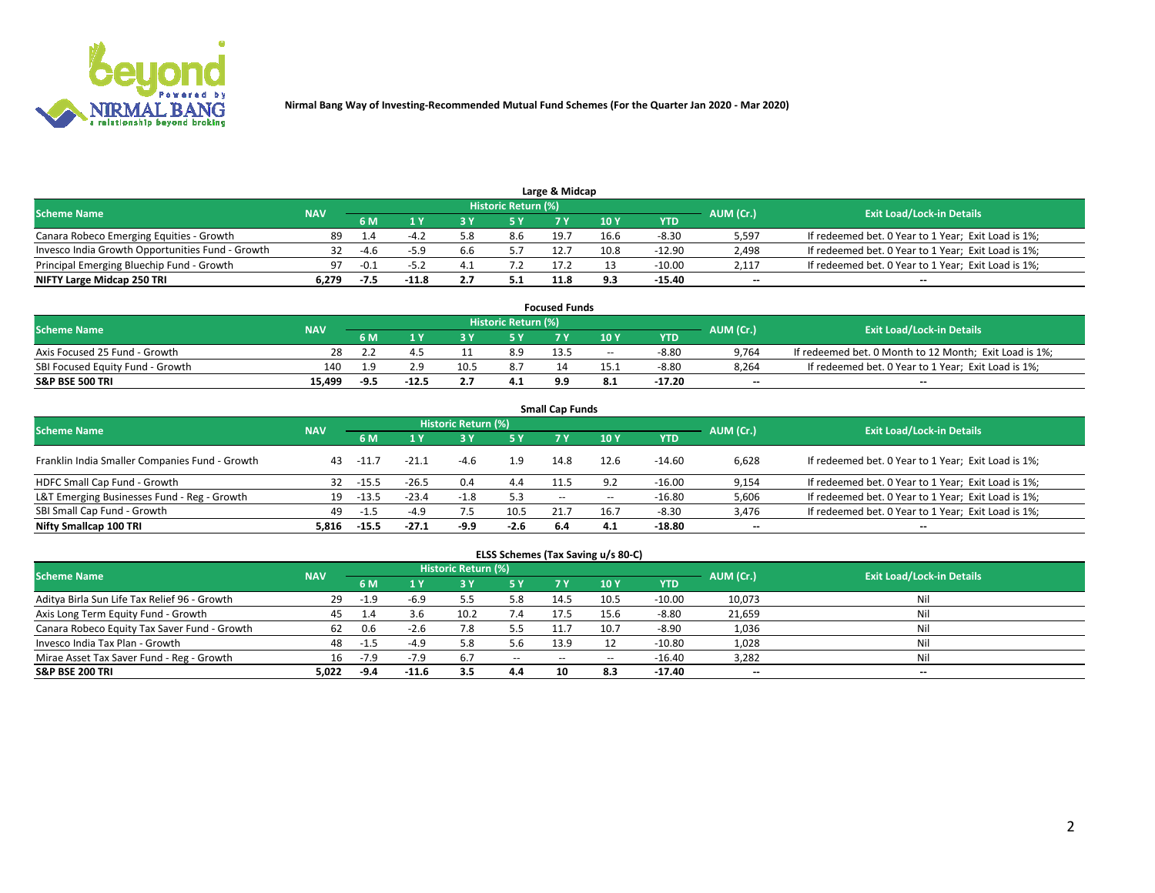

| Large & Midcap                                   |            |      |          |     |                     |      |      |            |                          |                                                     |  |  |  |  |
|--------------------------------------------------|------------|------|----------|-----|---------------------|------|------|------------|--------------------------|-----------------------------------------------------|--|--|--|--|
| <b>Scheme Name</b>                               | <b>NAV</b> |      |          |     | Historic Return (%) |      |      |            | AUM (Cr.)                | <b>Exit Load/Lock-in Details</b>                    |  |  |  |  |
|                                                  |            | 6 M  |          |     |                     |      | 10Y  | <b>YTD</b> |                          |                                                     |  |  |  |  |
| Canara Robeco Emerging Equities - Growth         | 89.        |      |          |     | 8.6                 | 19.7 | 16.6 | $-8.30$    | 5,597                    | If redeemed bet. 0 Year to 1 Year; Exit Load is 1%; |  |  |  |  |
| Invesco India Growth Opportunities Fund - Growth | 32         | -4.6 | $-5.9$   | b.b |                     |      | 10.8 | $-12.90$   | 2,498                    | If redeemed bet. 0 Year to 1 Year; Exit Load is 1%; |  |  |  |  |
| Principal Emerging Bluechip Fund - Growth        | 97         | -0.1 | $-5$ $-$ |     |                     |      |      | -10.00     | 2,117                    | If redeemed bet. 0 Year to 1 Year; Exit Load is 1%; |  |  |  |  |
| NIFTY Large Midcap 250 TRI                       | 6.279      | -7.5 | $-11.8$  |     |                     | 11.8 | 9.3  | -15.40     | $\overline{\phantom{a}}$ | $- -$                                               |  |  |  |  |

| <b>Focused Funds</b>             |            |      |       |  |                     |      |       |          |           |                                                        |  |  |  |
|----------------------------------|------------|------|-------|--|---------------------|------|-------|----------|-----------|--------------------------------------------------------|--|--|--|
| <b>Scheme Name</b>               | <b>NAV</b> |      |       |  | Historic Return (%) |      |       |          |           | <b>Exit Load/Lock-in Details</b>                       |  |  |  |
|                                  |            | 6 M  |       |  |                     |      | 10 Y  | YTD      | AUM (Cr.) |                                                        |  |  |  |
| Axis Focused 25 Fund - Growth    | 28         |      |       |  | 8.9                 | 13.5 | $- -$ | $-8.80$  | 9,764     | If redeemed bet. 0 Month to 12 Month; Exit Load is 1%; |  |  |  |
| SBI Focused Equity Fund - Growth | 140        |      | າ ດ   |  | 8.7                 |      | 15.1  | $-8.80$  | 8.264     | If redeemed bet. 0 Year to 1 Year; Exit Load is 1%;    |  |  |  |
| <b>S&amp;P BSE 500 TRI</b>       | 15.499     | -9.5 | -12.5 |  | 4.1                 | 9.9  |       | $-17.20$ | $\sim$    | $- -$                                                  |  |  |  |

| <b>Small Cap Funds</b>                         |            |         |         |                     |        |       |       |            |           |                                                     |  |  |  |
|------------------------------------------------|------------|---------|---------|---------------------|--------|-------|-------|------------|-----------|-----------------------------------------------------|--|--|--|
| <b>Scheme Name</b>                             | <b>NAV</b> |         |         | Historic Return (%) |        |       |       |            | AUM (Cr.) | <b>Exit Load/Lock-in Details</b>                    |  |  |  |
|                                                |            | 6 M     |         |                     | 5 Y    |       | 10Y   | <b>YTD</b> |           |                                                     |  |  |  |
| Franklin India Smaller Companies Fund - Growth | 43         | $-11.7$ |         | $-4.6$              | 1.9    | 14.8  | 12.6  | -14.60     | 6.628     | If redeemed bet. 0 Year to 1 Year; Exit Load is 1%; |  |  |  |
| HDFC Small Cap Fund - Growth                   | 32         | $-15.5$ | $-26.5$ | 0.4                 | 4.4    | 11.5  | 9.2   | -16.00     | 9,154     | If redeemed bet. 0 Year to 1 Year; Exit Load is 1%; |  |  |  |
| L&T Emerging Businesses Fund - Reg - Growth    | 19         | $-13.5$ | $-23.4$ | $-1.8$              | 5.3    | $- -$ | $- -$ | $-16.80$   | 5,606     | If redeemed bet. 0 Year to 1 Year; Exit Load is 1%; |  |  |  |
| SBI Small Cap Fund - Growth                    | 49         |         | $-4.9$  |                     | 10.5   | 21.   | 16.7  | $-8.30$    | 3,476     | If redeemed bet. 0 Year to 1 Year; Exit Load is 1%; |  |  |  |
| Nifty Smallcap 100 TRI                         | 5.816      | $-15.5$ | $-27.1$ | $-9.9$              | $-2.6$ | 6.4   | 4.1   | $-18.80$   | $\sim$    | $- -$                                               |  |  |  |

## **ELSS Schemes (Tax Saving u/s 80-C)**

| <b>Scheme Name</b>                           | <b>NAV</b> |        |         | <b>Historic Return (%)</b> |           |                          |        |          | AUM (Cr.) | <b>Exit Load/Lock-in Details</b> |
|----------------------------------------------|------------|--------|---------|----------------------------|-----------|--------------------------|--------|----------|-----------|----------------------------------|
|                                              |            | 6 M    | 4 Y     | 73 Y                       | <b>5Y</b> | 7 Y                      | $-10V$ | YTD      |           |                                  |
| Aditya Birla Sun Life Tax Relief 96 - Growth | 29         | $-1.9$ |         |                            | 5.8       | 14.5                     | 10.5   | $-10.00$ | 10,073    | Nil                              |
| Axis Long Term Equity Fund - Growth          | 45         |        |         | 10.2                       | 7.4       | 17.5                     | 15.6   | $-8.80$  | 21,659    | Nil                              |
| Canara Robeco Equity Tax Saver Fund - Growth | 62         | 0.6    | -2.t    | ە.                         |           |                          | 10.7   | $-8.90$  | 1,036     | Nil                              |
| Invesco India Tax Plan - Growth              | 48         | -1.5   |         | 5.8                        | 5.6       | 13.9                     |        | $-10.80$ | 1,028     | Nil                              |
| Mirae Asset Tax Saver Fund - Reg - Growth    | 16         | $-7.9$ |         |                            | $\sim$    | $\overline{\phantom{a}}$ | --     | $-16.40$ | 3,282     | Nil                              |
| <b>S&amp;P BSE 200 TRI</b>                   | 5,022      | $-9.4$ | $-11.6$ | 3.5                        | 4.4       | 10                       |        | $-17.40$ | $-$       | $- -$                            |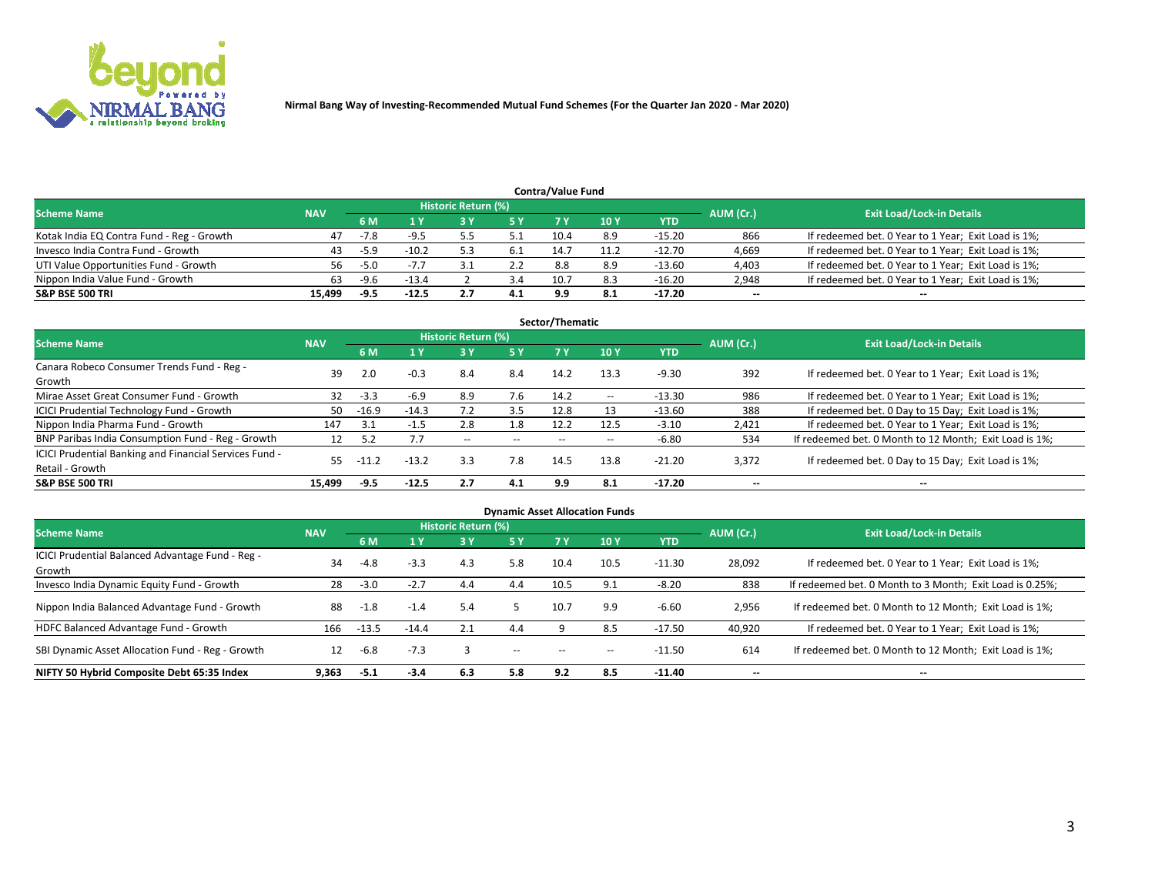

|                                           |            |        |         |                     |     | <b>Contra/Value Fund</b> |      |          |           |                                                     |
|-------------------------------------------|------------|--------|---------|---------------------|-----|--------------------------|------|----------|-----------|-----------------------------------------------------|
| <b>Scheme Name</b>                        | <b>NAV</b> |        |         | Historic Return (%) |     |                          |      |          | AUM (Cr.) | <b>Exit Load/Lock-in Details</b>                    |
|                                           |            | 6 M    |         |                     | 5 Y | 7 V                      | 10Y  | YTD      |           |                                                     |
| Kotak India EQ Contra Fund - Reg - Growth | 47         | $-7.8$ | -9.5    |                     |     | 10.4                     | 8.9  | -15.20   | 866       | If redeemed bet. 0 Year to 1 Year; Exit Load is 1%; |
| Invesco India Contra Fund - Growth        | 43         | $-5.9$ | $-10.2$ |                     | 6.1 | 14.7                     | 11.2 | $-12.70$ | 4,669     | If redeemed bet. 0 Year to 1 Year; Exit Load is 1%; |
| UTI Value Opportunities Fund - Growth     | 56         | $-5.0$ |         |                     | 2.2 | 8.8                      | 8.9  | -13.60   | 4,403     | If redeemed bet. 0 Year to 1 Year; Exit Load is 1%; |
| Nippon India Value Fund - Growth          | 63         | -9.6   | $-13.4$ |                     | 3.4 | 10.7                     |      | -16.20   | 2,948     | If redeemed bet. 0 Year to 1 Year; Exit Load is 1%; |
| <b>S&amp;P BSE 500 TRI</b>                | 15.499     | -9.5   | $-12.5$ |                     | 4.1 | 9.9                      | 8.1  | -17.20   | $\sim$    | $- -$                                               |

| Sector/Thematic                                                           |            |         |         |                     |       |       |               |            |                          |                                                        |  |  |  |
|---------------------------------------------------------------------------|------------|---------|---------|---------------------|-------|-------|---------------|------------|--------------------------|--------------------------------------------------------|--|--|--|
| <b>Scheme Name</b>                                                        | <b>NAV</b> |         |         | Historic Return (%) |       |       |               |            | AUM (Cr.)                | <b>Exit Load/Lock-in Details</b>                       |  |  |  |
|                                                                           |            | 6 M     | 1 Y     | <b>3 Y</b>          | 5 Y   | 7 Y   | 10Y           | <b>YTD</b> |                          |                                                        |  |  |  |
| Canara Robeco Consumer Trends Fund - Reg -<br>Growth                      | 39         | 2.0     | $-0.3$  | 8.4                 | 8.4   | 14.2  | 13.3          | $-9.30$    | 392                      | If redeemed bet. 0 Year to 1 Year; Exit Load is 1%;    |  |  |  |
| Mirae Asset Great Consumer Fund - Growth                                  | 32         | $-3.3$  | $-6.9$  | 8.9                 | 7.6   | 14.2  | $\sim$ $\sim$ | -13.30     | 986                      | If redeemed bet. 0 Year to 1 Year; Exit Load is 1%;    |  |  |  |
| ICICI Prudential Technology Fund - Growth                                 | 50         | $-16.9$ | $-14.3$ |                     | 3.5   | 12.8  | 13            | $-13.60$   | 388                      | If redeemed bet. 0 Day to 15 Day; Exit Load is 1%;     |  |  |  |
| Nippon India Pharma Fund - Growth                                         | 147        | 3.1     | $-1.5$  | 2.8                 | 1.8   | 12.2  | 12.5          | $-3.10$    | 2.421                    | If redeemed bet. 0 Year to 1 Year; Exit Load is 1%;    |  |  |  |
| BNP Paribas India Consumption Fund - Reg - Growth                         | 12         |         |         | $- -$               | $- -$ | $- -$ |               | $-6.80$    | 534                      | If redeemed bet. 0 Month to 12 Month; Exit Load is 1%; |  |  |  |
| ICICI Prudential Banking and Financial Services Fund -<br>Retail - Growth | 55.        | $-11.2$ | $-13.2$ | 3.3                 | 7.8   | 14.5  | 13.8          | $-21.20$   | 3,372                    | If redeemed bet. 0 Day to 15 Day; Exit Load is 1%;     |  |  |  |
| <b>S&amp;P BSE 500 TRI</b>                                                | 15.499     | -9.5    | $-12.5$ | 2.7                 | 4.1   | 9.9   | 8.1           | -17.20     | $\overline{\phantom{a}}$ | $- -$                                                  |  |  |  |

|                                                            |            |         |         |                     |     |      | <b>Dynamic Asset Allocation Funds</b> |            |           |                                                          |
|------------------------------------------------------------|------------|---------|---------|---------------------|-----|------|---------------------------------------|------------|-----------|----------------------------------------------------------|
| <b>Scheme Name</b>                                         | <b>NAV</b> |         |         | Historic Return (%) |     |      |                                       |            | AUM (Cr.) | <b>Exit Load/Lock-in Details</b>                         |
|                                                            |            | 6 M     | 1 Y     | 73 Y                | 5 Y |      | 10Y                                   | <b>YTD</b> |           |                                                          |
| ICICI Prudential Balanced Advantage Fund - Reg -<br>Growth | 34         | $-4.8$  | $-3.3$  | 4.3                 | 5.8 | 10.4 | 10.5                                  | $-11.30$   | 28,092    | If redeemed bet. 0 Year to 1 Year; Exit Load is 1%;      |
| Invesco India Dynamic Equity Fund - Growth                 | 28         | $-3.0$  | $-2.7$  | 4.4                 | 4.4 | 10.5 | 9.1                                   | $-8.20$    | 838       | If redeemed bet. 0 Month to 3 Month; Exit Load is 0.25%; |
| Nippon India Balanced Advantage Fund - Growth              | 88         | $-1.8$  | $-1.4$  | 5.4                 |     | 10.7 | 9.9                                   | $-6.60$    | 2,956     | If redeemed bet. 0 Month to 12 Month; Exit Load is 1%;   |
| HDFC Balanced Advantage Fund - Growth                      | 166        | $-13.5$ | $-14.4$ | 2.1                 | 4.4 |      | 8.5                                   | $-17.50$   | 40,920    | If redeemed bet. 0 Year to 1 Year; Exit Load is 1%;      |
| SBI Dynamic Asset Allocation Fund - Reg - Growth           | 12         | -6.8    | $-7.3$  | 3                   | $-$ |      | $- -$                                 | $-11.50$   | 614       | If redeemed bet. 0 Month to 12 Month; Exit Load is 1%;   |
| NIFTY 50 Hybrid Composite Debt 65:35 Index                 | 9,363      | $-5.1$  | $-3.4$  | 6.3                 | 5.8 | 9.2  | 8.5                                   | -11.40     | $\sim$    | --                                                       |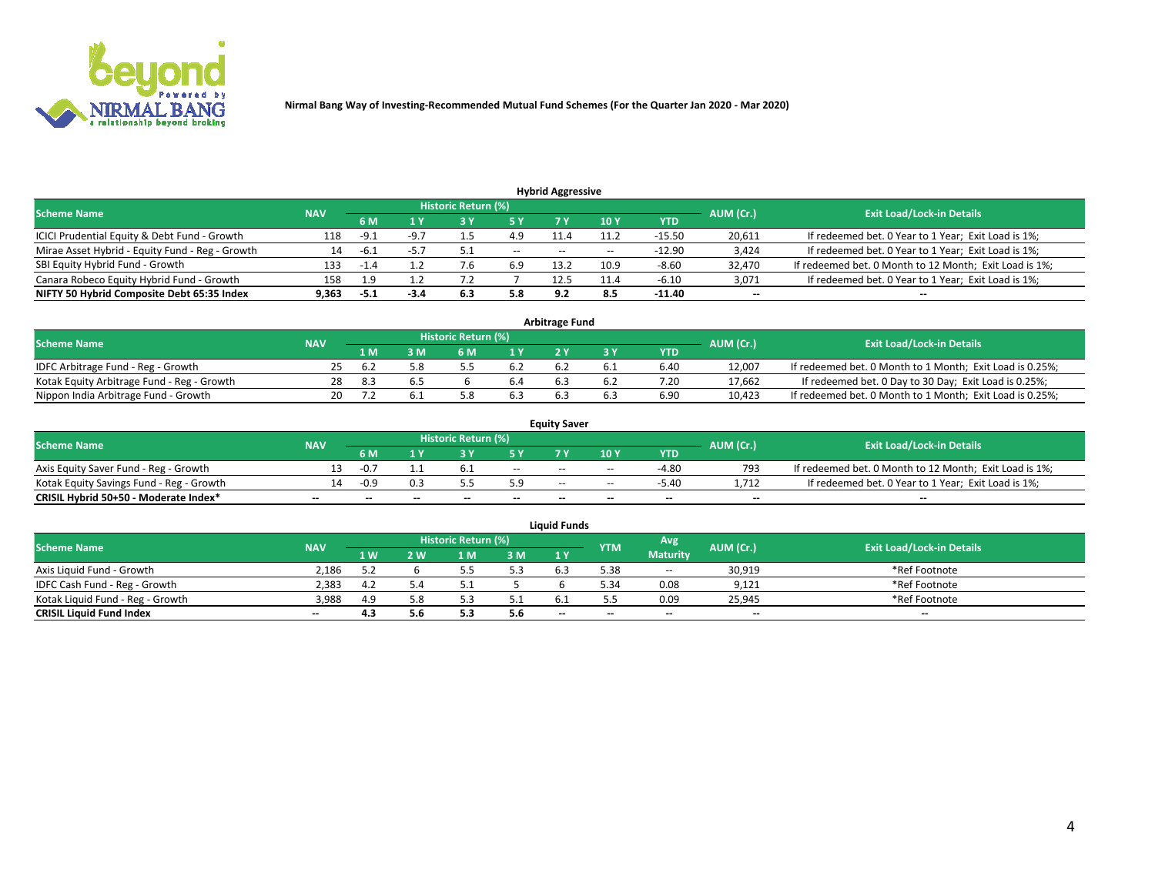

| <b>Hybrid Aggressive</b>                        |            |        |        |                            |                          |                          |       |          |                          |                                                        |  |  |  |  |
|-------------------------------------------------|------------|--------|--------|----------------------------|--------------------------|--------------------------|-------|----------|--------------------------|--------------------------------------------------------|--|--|--|--|
| <b>Scheme Name</b>                              | <b>NAV</b> |        |        | <b>Historic Return (%)</b> |                          |                          |       |          | AUM (Cr.)                | <b>Exit Load/Lock-in Details</b>                       |  |  |  |  |
|                                                 |            | 6 M    |        |                            |                          |                          | 10Y   | YTD      |                          |                                                        |  |  |  |  |
| ICICI Prudential Equity & Debt Fund - Growth    | 118        | $-9.1$ | $-9.7$ |                            | 4.9                      | 11.4                     | 11.2  | -15.50   | 20,611                   | If redeemed bet. 0 Year to 1 Year; Exit Load is 1%;    |  |  |  |  |
| Mirae Asset Hybrid - Equity Fund - Reg - Growth | 14         | -6.1   | $-5.7$ |                            | $\overline{\phantom{a}}$ | $\overline{\phantom{a}}$ | $- -$ | $-12.90$ | 3,424                    | If redeemed bet. 0 Year to 1 Year; Exit Load is 1%;    |  |  |  |  |
| SBI Equity Hybrid Fund - Growth                 | 133        | $-1.4$ |        |                            | 6.9                      | 13.2                     | 10.9  | $-8.60$  | 32,470                   | If redeemed bet. 0 Month to 12 Month; Exit Load is 1%; |  |  |  |  |
| Canara Robeco Equity Hybrid Fund - Growth       | 158        | q      |        |                            |                          | 12.5                     | 11.4  | $-6.10$  | 3,071                    | If redeemed bet. 0 Year to 1 Year; Exit Load is 1%;    |  |  |  |  |
| NIFTY 50 Hybrid Composite Debt 65:35 Index      | 9,363      | $-5.1$ |        | 6.3                        | 5.8                      | 9.2                      | -8.5  | -11.40   | $\overline{\phantom{a}}$ | $- -$                                                  |  |  |  |  |

|                                            |                                                                                    |       |          |  |                | Arbitrage Fund |     |            |        |                                                          |  |  |
|--------------------------------------------|------------------------------------------------------------------------------------|-------|----------|--|----------------|----------------|-----|------------|--------|----------------------------------------------------------|--|--|
| <b>Scheme Name</b>                         | Historic Return (%)<br><b>Exit Load/Lock-in Details</b><br>AUM (Cr.)<br><b>NAV</b> |       |          |  |                |                |     |            |        |                                                          |  |  |
|                                            |                                                                                    | l M   | <b>M</b> |  | 1 <sub>V</sub> |                |     | <b>YTD</b> |        |                                                          |  |  |
| IDFC Arbitrage Fund - Reg - Growth         | 25                                                                                 | − b.∠ |          |  | b.Z            |                |     | 6.40       | 12,007 | If redeemed bet. 0 Month to 1 Month; Exit Load is 0.25%; |  |  |
| Kotak Equity Arbitrage Fund - Reg - Growth | 28                                                                                 | 8.3   | b.5      |  |                |                | b.Z | / .20      | 17,662 | If redeemed bet. 0 Day to 30 Day; Exit Load is 0.25%;    |  |  |
| Nippon India Arbitrage Fund - Growth       | 20                                                                                 |       |          |  |                |                |     | 6.90       | 10.423 | If redeemed bet. 0 Month to 1 Month; Exit Load is 0.25%; |  |  |

|                                          | <b>Equity Saver</b> |                                  |     |                          |                          |               |               |            |                          |                                                        |  |  |  |  |  |
|------------------------------------------|---------------------|----------------------------------|-----|--------------------------|--------------------------|---------------|---------------|------------|--------------------------|--------------------------------------------------------|--|--|--|--|--|
| Scheme Name                              | <b>NAV</b>          | <b>Exit Load/Lock-in Details</b> |     |                          |                          |               |               |            |                          |                                                        |  |  |  |  |  |
|                                          |                     | 6 M                              |     |                          | 5 Y                      |               | $\sqrt{10}$ Y | <b>YTD</b> | AUM (Cr.)                |                                                        |  |  |  |  |  |
| Axis Equity Saver Fund - Reg - Growth    |                     | $-0.7$                           |     |                          | $\sim$                   | $- -$         | $- -$         | $-4.80$    | 793                      | If redeemed bet. 0 Month to 12 Month; Exit Load is 1%; |  |  |  |  |  |
| Kotak Equity Savings Fund - Reg - Growth |                     | $-0.9$                           |     |                          | 5.9                      | $\sim$ $\sim$ | $- -$         | $-5.40$    | 1.712                    | If redeemed bet. 0 Year to 1 Year; Exit Load is 1%;    |  |  |  |  |  |
| CRISIL Hybrid 50+50 - Moderate Index*    |                     | $- -$                            | $-$ | $\overline{\phantom{a}}$ | $\overline{\phantom{a}}$ | $\sim$        | --            | $- -$      | $\overline{\phantom{a}}$ | $- -$                                                  |  |  |  |  |  |

| <b>Liquid Funds</b>              |            |      |     |                            |       |        |            |                 |           |                                  |  |  |  |
|----------------------------------|------------|------|-----|----------------------------|-------|--------|------------|-----------------|-----------|----------------------------------|--|--|--|
| <b>Scheme Name</b>               | <b>NAV</b> |      |     | <b>Historic Return (%)</b> |       |        | <b>YTM</b> | Avg             | AUM (Cr.) | <b>Exit Load/Lock-in Details</b> |  |  |  |
|                                  |            | 1 W. | ว พ | ۱M                         | 3M    | 1Y     |            | <b>Maturity</b> |           |                                  |  |  |  |
| Axis Liquid Fund - Growth        | 2,186      |      |     |                            | 5.3   | 6.3    | 5.38       | $\sim$ $\sim$   | 30,919    | *Ref Footnote                    |  |  |  |
| IDFC Cash Fund - Reg - Growth    | 2.383      | 4.2  |     |                            |       |        | 5.34       | 0.08            | 9,121     | *Ref Footnote                    |  |  |  |
| Kotak Liquid Fund - Reg - Growth | 3,988      | 4.9  |     |                            | ـ . ـ |        |            | 0.09            | 25,945    | *Ref Footnote                    |  |  |  |
| <b>CRISIL Liquid Fund Index</b>  | $\sim$     | 4.3  | 5.6 |                            | 5.6   | $\sim$ | $-$        | $-$             | $\sim$    | $\overline{\phantom{a}}$         |  |  |  |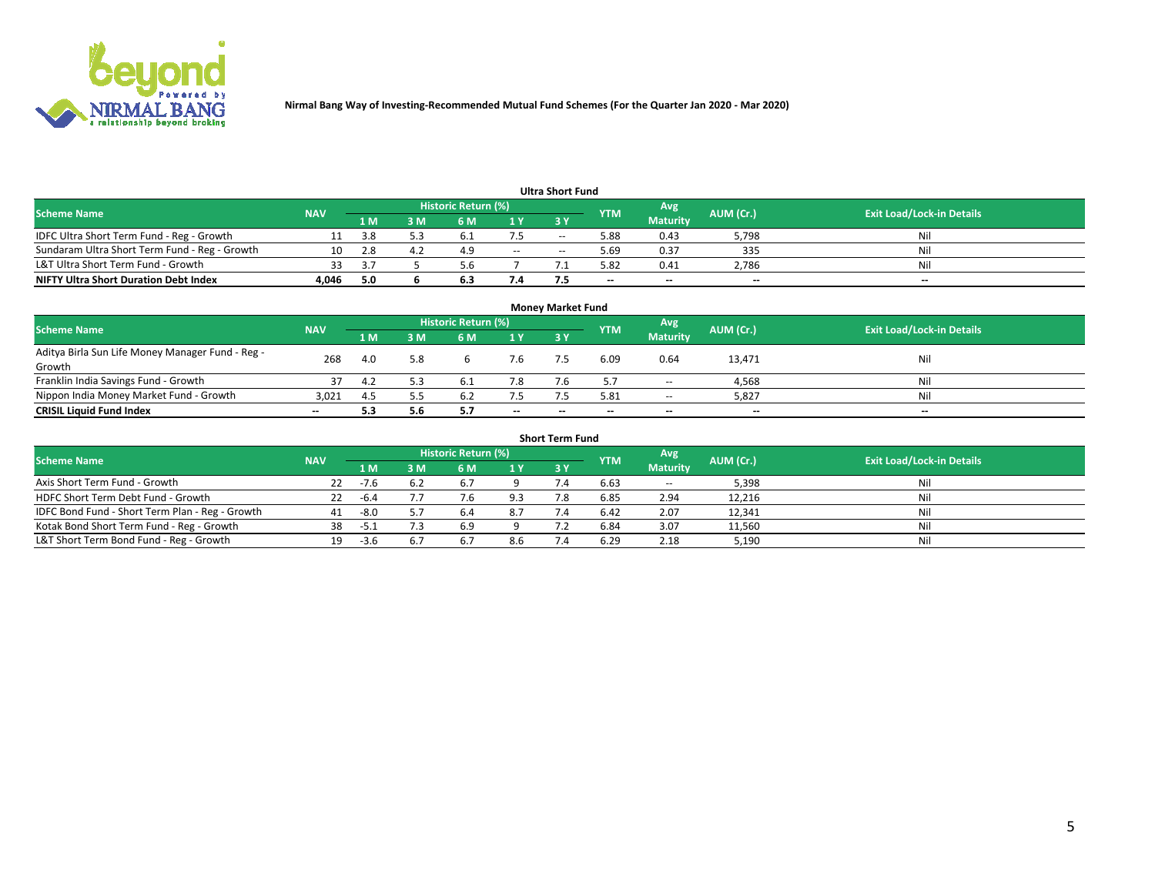

|                                               |            |     |     |                     |        | <b>Ultra Short Fund</b> |            |                 |           |                                  |
|-----------------------------------------------|------------|-----|-----|---------------------|--------|-------------------------|------------|-----------------|-----------|----------------------------------|
| <b>Scheme Name</b>                            | <b>NAV</b> |     |     | Historic Return (%) |        |                         | <b>YTM</b> | Avg             | AUM (Cr.) | <b>Exit Load/Lock-in Details</b> |
|                                               |            | 1 M | 3 M | 6 M                 | 1 Y    | <b>3 Y</b>              |            | <b>Maturity</b> |           |                                  |
| IDFC Ultra Short Term Fund - Reg - Growth     |            | 3 R |     |                     |        | $-$                     | 5.88       | 0.43            | 5,798     | Nil                              |
| Sundaram Ultra Short Term Fund - Reg - Growth |            |     |     | 4.9                 | $\sim$ | --                      | .69 د      | 0.37            | 335       | Nil                              |
| L&T Ultra Short Term Fund - Growth            | २२         |     |     |                     |        |                         | 5.82       | 0.41            | 2,786     | Nil                              |
| <b>NIFTY Ultra Short Duration Debt Index</b>  | 4,046      | 5.0 |     | b.:                 |        |                         | --         | $-$             | $\sim$    | $- -$                            |

| <b>Money Market Fund</b>                                   |            |     |     |                     |        |    |                          |                 |           |                                  |  |  |  |
|------------------------------------------------------------|------------|-----|-----|---------------------|--------|----|--------------------------|-----------------|-----------|----------------------------------|--|--|--|
| <b>Scheme Name</b>                                         | <b>NAV</b> |     |     | Historic Return (%) |        |    | <b>YTM</b>               | 'Avg            | AUM (Cr.) | <b>Exit Load/Lock-in Details</b> |  |  |  |
|                                                            |            | 1 M | 3 M | 6 M                 | 1 Y    | 3Y |                          | <b>Maturity</b> |           |                                  |  |  |  |
| Aditya Birla Sun Life Money Manager Fund - Reg -<br>Growth | 268        | 4.0 | 5.8 |                     | 7.6    |    | 6.09                     | 0.64            | 13,471    | Nil                              |  |  |  |
| Franklin India Savings Fund - Growth                       |            | 4.2 |     | 6.1                 | 7.8    |    |                          | $\sim$          | 4,568     | Nil                              |  |  |  |
| Nippon India Money Market Fund - Growth                    | 3.021      | 4.5 | 5.5 | 6.2                 | 7.5    |    | 5.81                     | $\sim$          | 5,827     | Nil                              |  |  |  |
| <b>CRISIL Liquid Fund Index</b>                            | $- -$      |     | 5.6 |                     | $\sim$ | -- | $\overline{\phantom{a}}$ | $\sim$          | $\sim$    | $\sim$                           |  |  |  |

| <b>Short Term Fund</b>                          |            |        |     |                     |     |           |            |                 |           |                                  |  |  |  |  |
|-------------------------------------------------|------------|--------|-----|---------------------|-----|-----------|------------|-----------------|-----------|----------------------------------|--|--|--|--|
| <b>Scheme Name</b>                              | <b>NAV</b> |        |     | Historic Return (%) |     |           | <b>YTM</b> | Avg             | AUM (Cr.) | <b>Exit Load/Lock-in Details</b> |  |  |  |  |
|                                                 |            | 1 M    | 3 M | 6 M                 | 1Y  | <b>3Y</b> |            | <b>Maturity</b> |           |                                  |  |  |  |  |
| Axis Short Term Fund - Growth                   |            | $-7.6$ | 6.  | b.                  |     |           | 6.63       | $\sim$          | 5,398     | Nil                              |  |  |  |  |
| HDFC Short Term Debt Fund - Growth              |            | -6.4   |     |                     | 9.3 |           | 6.85       | 2.94            | 12,216    | Nil                              |  |  |  |  |
| IDFC Bond Fund - Short Term Plan - Reg - Growth | 41         | $-8.0$ |     | 6.4                 | 8.7 |           | 6.42       | 2.07            | 12,341    | Nil                              |  |  |  |  |
| Kotak Bond Short Term Fund - Reg - Growth       | 38         | -5.1   |     | 6.9                 |     |           | 6.84       | 3.07            | 11,560    | Nil                              |  |  |  |  |
| L&T Short Term Bond Fund - Reg - Growth         |            | $-3.6$ |     | b                   | 8.6 |           | 6.29       | 2.18            | 5,190     | Nil                              |  |  |  |  |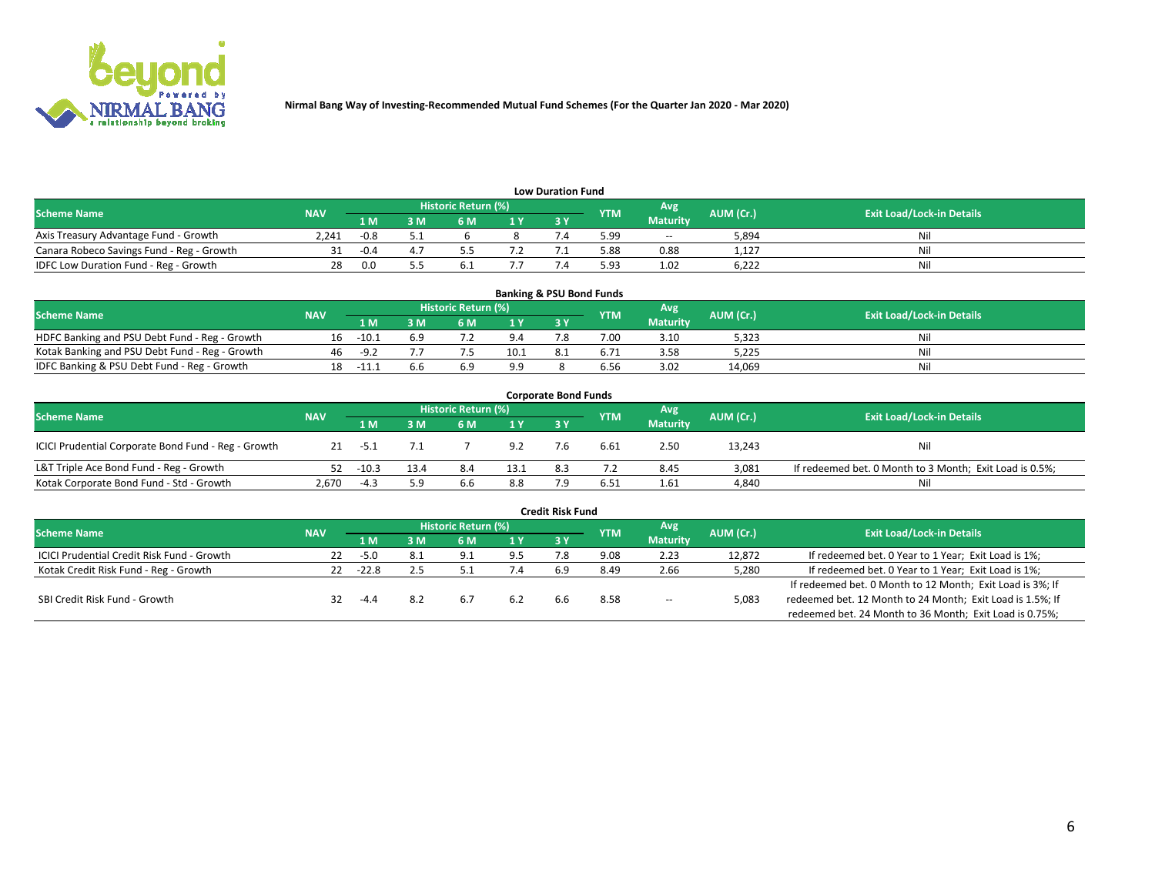

| <b>Low Duration Fund</b>                  |            |        |     |                            |     |    |            |                 |           |                                  |  |  |  |
|-------------------------------------------|------------|--------|-----|----------------------------|-----|----|------------|-----------------|-----------|----------------------------------|--|--|--|
| <b>Scheme Name</b>                        | <b>NAV</b> |        |     | <b>Historic Return (%)</b> |     |    | <b>YTM</b> | Avg             | AUM (Cr.) | <b>Exit Load/Lock-in Details</b> |  |  |  |
|                                           |            | เ м    | : M | 5 M                        | 1 V | эv |            | <b>Maturity</b> |           |                                  |  |  |  |
| Axis Treasury Advantage Fund - Growth     | 2.241      | $-0.8$ |     |                            |     |    | 5.99       | $- -$           | 5,894     | Nil                              |  |  |  |
| Canara Robeco Savings Fund - Reg - Growth |            | $-0.4$ |     |                            |     |    | 5.88       | 0.88            | 1,127     | Nil                              |  |  |  |
| IDFC Low Duration Fund - Reg - Growth     |            | 0.0    |     |                            |     |    | 5.93       | 1.02            | 6.222     | Nil                              |  |  |  |

| <b>Banking &amp; PSU Bond Funds</b>            |            |         |     |                            |                |           |            |                 |           |                                  |  |  |  |
|------------------------------------------------|------------|---------|-----|----------------------------|----------------|-----------|------------|-----------------|-----------|----------------------------------|--|--|--|
| <b>Scheme Name</b>                             | <b>NAV</b> |         |     | <b>Historic Return (%)</b> |                |           | <b>YTM</b> | Avg             | AUM (Cr.) | <b>Exit Load/Lock-in Details</b> |  |  |  |
|                                                |            | 1 M     | sм  | 6 M                        | 1 <sub>Y</sub> | <b>3Y</b> |            | <b>Maturity</b> |           |                                  |  |  |  |
| HDFC Banking and PSU Debt Fund - Reg - Growth  | 16         | $-10.1$ | 6.9 |                            | 9.4            |           | 7.00       | 3.10            | 5,323     | Ni                               |  |  |  |
| Kotak Banking and PSU Debt Fund - Reg - Growth | 46         | $-9.2$  |     |                            | 10.1           |           |            | 3.58            | 5,225     | Ni                               |  |  |  |
| IDFC Banking & PSU Debt Fund - Reg - Growth    |            | -11.1   |     | 6.9                        | 9.9            |           | 6.56       | 3.02            | 14.069    | Ni                               |  |  |  |

| <b>Corporate Bond Funds</b>                         |            |         |      |                     |      |     |            |                 |           |                                                         |  |  |  |  |
|-----------------------------------------------------|------------|---------|------|---------------------|------|-----|------------|-----------------|-----------|---------------------------------------------------------|--|--|--|--|
| <b>Scheme Name</b>                                  | <b>NAV</b> |         |      | Historic Return (%) |      |     | <b>YTM</b> | Avg'            | AUM (Cr.) | <b>Exit Load/Lock-in Details</b>                        |  |  |  |  |
|                                                     |            | 1 M     | : M  | 6 M                 | 1 Y  | 3 Y |            | <b>Maturity</b> |           |                                                         |  |  |  |  |
| ICICI Prudential Corporate Bond Fund - Reg - Growth | 21         | -5.1    | 7.1  |                     | 9.2  |     | 6.61       | 2.50            | 13,243    | Nil                                                     |  |  |  |  |
| L&T Triple Ace Bond Fund - Reg - Growth             |            | $-10.3$ | 13.4 | 8.4                 | 13.1 | 8.3 |            | 8.45            | 3,081     | If redeemed bet. 0 Month to 3 Month; Exit Load is 0.5%; |  |  |  |  |
| Kotak Corporate Bond Fund - Std - Growth            | 2.670      | $-4.3$  | 59   | 6.b                 | 8.8  |     | 6.51       | 1.61            | 4,840     | Nil                                                     |  |  |  |  |

|                                                   |            |         |     |                            |     | <b>Credit Risk Fund</b> |            |                 |           |                                                           |
|---------------------------------------------------|------------|---------|-----|----------------------------|-----|-------------------------|------------|-----------------|-----------|-----------------------------------------------------------|
| <b>Scheme Name</b>                                | <b>NAV</b> |         |     | <b>Historic Return (%)</b> |     |                         | <b>YTM</b> | Avg             | AUM (Cr.) | <b>Exit Load/Lock-in Details</b>                          |
|                                                   |            | 1 M     | 3 M | 6 M                        | 1 Y | 3 Y                     |            | <b>Maturity</b> |           |                                                           |
| <b>ICICI Prudential Credit Risk Fund - Growth</b> | 22         | -5.0    | 8.1 | 9.1                        | 9.5 |                         | 9.08       | 2.23            | 12,872    | If redeemed bet. 0 Year to 1 Year; Exit Load is 1%;       |
| Kotak Credit Risk Fund - Reg - Growth             |            | $-22.8$ |     |                            |     | 6.9                     | 8.49       | 2.66            | 5,280     | If redeemed bet. 0 Year to 1 Year; Exit Load is 1%;       |
|                                                   |            |         |     |                            |     |                         |            |                 |           | If redeemed bet. 0 Month to 12 Month; Exit Load is 3%; If |
| SBI Credit Risk Fund - Growth                     | 32         | $-4.4$  | 8.2 | 6.7                        | 6.2 | h.h                     | 8.58       | $- -$           | 5,083     | redeemed bet. 12 Month to 24 Month; Exit Load is 1.5%; If |
|                                                   |            |         |     |                            |     |                         |            |                 |           | redeemed bet. 24 Month to 36 Month; Exit Load is 0.75%;   |